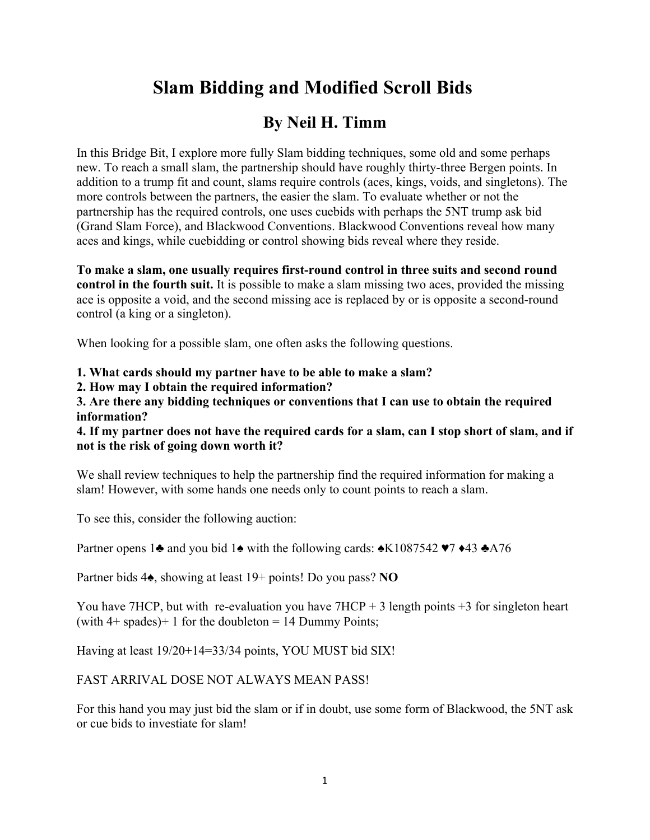# **Slam Bidding and Modified Scroll Bids**

# **By Neil H. Timm**

In this Bridge Bit, I explore more fully Slam bidding techniques, some old and some perhaps new. To reach a small slam, the partnership should have roughly thirty-three Bergen points. In addition to a trump fit and count, slams require controls (aces, kings, voids, and singletons). The more controls between the partners, the easier the slam. To evaluate whether or not the partnership has the required controls, one uses cuebids with perhaps the 5NT trump ask bid (Grand Slam Force), and Blackwood Conventions. Blackwood Conventions reveal how many aces and kings, while cuebidding or control showing bids reveal where they reside.

**To make a slam, one usually requires first-round control in three suits and second round control in the fourth suit.** It is possible to make a slam missing two aces, provided the missing ace is opposite a void, and the second missing ace is replaced by or is opposite a second-round control (a king or a singleton).

When looking for a possible slam, one often asks the following questions.

**1. What cards should my partner have to be able to make a slam?**

**2. How may I obtain the required information?**

**3. Are there any bidding techniques or conventions that I can use to obtain the required information?**

**4. If my partner does not have the required cards for a slam, can I stop short of slam, and if not is the risk of going down worth it?**

We shall review techniques to help the partnership find the required information for making a slam! However, with some hands one needs only to count points to reach a slam.

To see this, consider the following auction:

Partner opens 1♣ and you bid 1♠ with the following cards:  $\triangle$ K1087542 ♥7 ♦43 ♣A76

Partner bids 4♠, showing at least 19+ points! Do you pass? **NO**

You have 7HCP, but with re-evaluation you have  $7HCP + 3$  length points  $+3$  for singleton heart (with  $4+$  spades) + 1 for the doubleton = 14 Dummy Points;

Having at least 19/20+14=33/34 points, YOU MUST bid SIX!

FAST ARRIVAL DOSE NOT ALWAYS MEAN PASS!

For this hand you may just bid the slam or if in doubt, use some form of Blackwood, the 5NT ask or cue bids to investiate for slam!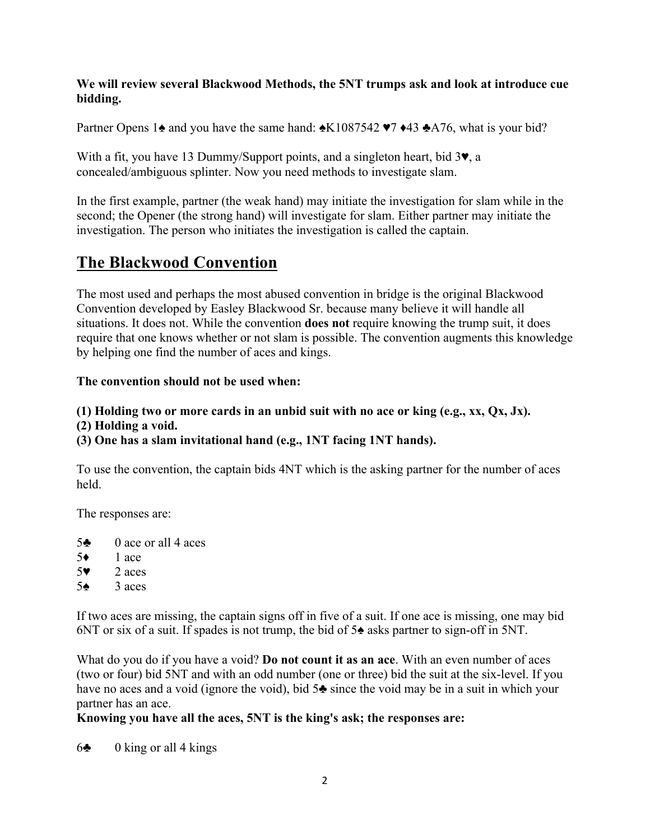## **We will review several Blackwood Methods, the 5NT trumps ask and look at introduce cue bidding.**

Partner Opens 1 $\triangle$  and you have the same hand:  $\triangle$ K1087542 ♥7 ♦43 ♣A76, what is your bid?

With a fit, you have 13 Dummy/Support points, and a singleton heart, bid 3♥, a concealed/ambiguous splinter. Now you need methods to investigate slam.

In the first example, partner (the weak hand) may initiate the investigation for slam while in the second; the Opener (the strong hand) will investigate for slam. Either partner may initiate the investigation. The person who initiates the investigation is called the captain.

## **The Blackwood Convention**

The most used and perhaps the most abused convention in bridge is the original Blackwood Convention developed by Easley Blackwood Sr. because many believe it will handle all situations. It does not. While the convention **does not** require knowing the trump suit, it does require that one knows whether or not slam is possible. The convention augments this knowledge by helping one find the number of aces and kings.

## **The convention should not be used when:**

- **(1) Holding two or more cards in an unbid suit with no ace or king (e.g., xx, Qx, Jx).**
- **(2) Holding a void.**
- **(3) One has a slam invitational hand (e.g., 1NT facing 1NT hands).**

To use the convention, the captain bids 4NT which is the asking partner for the number of aces held.

The responses are:

- 5♣ 0 ace or all 4 aces
- 5♦ 1 ace
- 5♥ 2 aces
- 5♦  $3$  aces

If two aces are missing, the captain signs off in five of a suit. If one ace is missing, one may bid 6NT or six of a suit. If spades is not trump, the bid of 5♠ asks partner to sign-off in 5NT.

What do you do if you have a void? **Do not count it as an ace**. With an even number of aces (two or four) bid 5NT and with an odd number (one or three) bid the suit at the six-level. If you have no aces and a void (ignore the void), bid 5♣ since the void may be in a suit in which your partner has an ace.

## **Knowing you have all the aces, 5NT is the king's ask; the responses are:**

 $6\clubsuit$  0 king or all 4 kings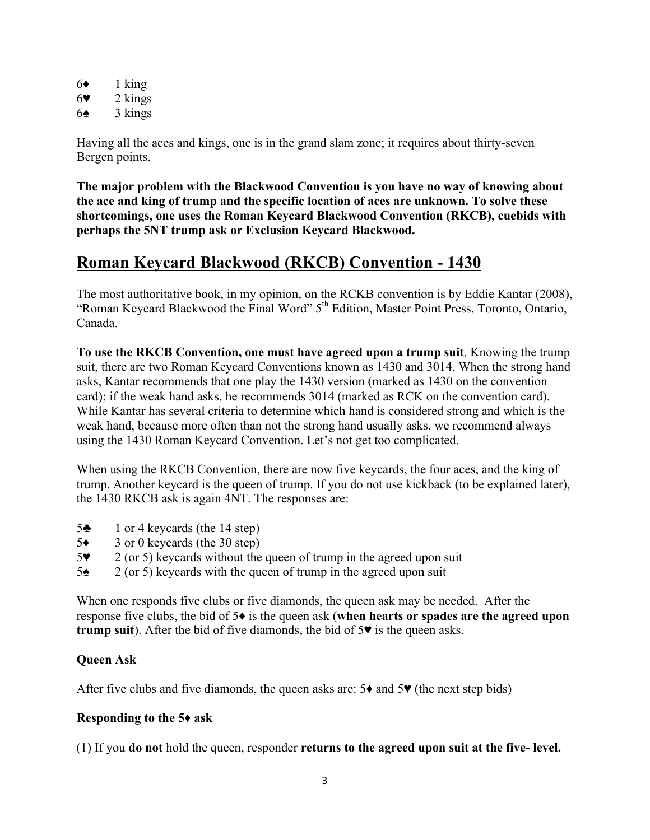| 6♦ | 1 king  |
|----|---------|
| 67 | 2 kings |
| 6♠ | 3 kings |

Having all the aces and kings, one is in the grand slam zone; it requires about thirty-seven Bergen points.

**The major problem with the Blackwood Convention is you have no way of knowing about the ace and king of trump and the specific location of aces are unknown. To solve these shortcomings, one uses the Roman Keycard Blackwood Convention (RKCB), cuebids with perhaps the 5NT trump ask or Exclusion Keycard Blackwood.**

## **Roman Keycard Blackwood (RKCB) Convention - 1430**

The most authoritative book, in my opinion, on the RCKB convention is by Eddie Kantar (2008), "Roman Keycard Blackwood the Final Word" 5<sup>th</sup> Edition, Master Point Press, Toronto, Ontario, Canada.

**To use the RKCB Convention, one must have agreed upon a trump suit**. Knowing the trump suit, there are two Roman Keycard Conventions known as 1430 and 3014. When the strong hand asks, Kantar recommends that one play the 1430 version (marked as 1430 on the convention card); if the weak hand asks, he recommends 3014 (marked as RCK on the convention card). While Kantar has several criteria to determine which hand is considered strong and which is the weak hand, because more often than not the strong hand usually asks, we recommend always using the 1430 Roman Keycard Convention. Let's not get too complicated.

When using the RKCB Convention, there are now five keycards, the four aces, and the king of trump. Another keycard is the queen of trump. If you do not use kickback (to be explained later), the 1430 RKCB ask is again 4NT. The responses are:

- 5♣ 1 or 4 keycards (the 14 step)
- 5♦ 3 or 0 keycards (the 30 step)
- 5♥ 2 (or 5) keycards without the queen of trump in the agreed upon suit
- 5♠ 2 (or 5) keycards with the queen of trump in the agreed upon suit

When one responds five clubs or five diamonds, the queen ask may be needed. After the response five clubs, the bid of 5♦ is the queen ask (**when hearts or spades are the agreed upon trump suit**). After the bid of five diamonds, the bid of 5♥ is the queen asks.

## **Queen Ask**

After five clubs and five diamonds, the queen asks are:  $5\bullet$  and  $5\bullet$  (the next step bids)

#### **Responding to the 5♦ ask**

(1) If you **do not** hold the queen, responder **returns to the agreed upon suit at the five- level.**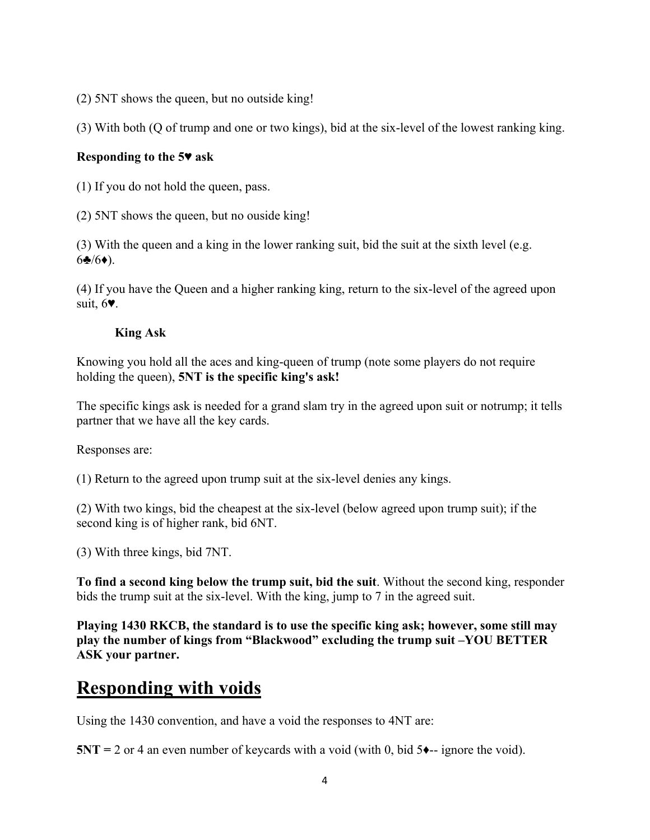(2) 5NT shows the queen, but no outside king!

(3) With both (Q of trump and one or two kings), bid at the six-level of the lowest ranking king.

## **Responding to the 5♥ ask**

(1) If you do not hold the queen, pass.

(2) 5NT shows the queen, but no ouside king!

(3) With the queen and a king in the lower ranking suit, bid the suit at the sixth level (e.g.  $6\clubsuit/6\spadesuit$ ).

(4) If you have the Queen and a higher ranking king, return to the six-level of the agreed upon suit, 6♥.

## **King Ask**

Knowing you hold all the aces and king-queen of trump (note some players do not require holding the queen), **5NT is the specific king's ask!**

The specific kings ask is needed for a grand slam try in the agreed upon suit or notrump; it tells partner that we have all the key cards.

Responses are:

(1) Return to the agreed upon trump suit at the six-level denies any kings.

(2) With two kings, bid the cheapest at the six-level (below agreed upon trump suit); if the second king is of higher rank, bid 6NT.

(3) With three kings, bid 7NT.

**To find a second king below the trump suit, bid the suit**. Without the second king, responder bids the trump suit at the six-level. With the king, jump to 7 in the agreed suit.

**Playing 1430 RKCB, the standard is to use the specific king ask; however, some still may play the number of kings from "Blackwood" excluding the trump suit –YOU BETTER ASK your partner.**

## **Responding with voids**

Using the 1430 convention, and have a void the responses to 4NT are:

**5NT** = 2 or 4 an even number of keycards with a void (with 0, bid  $5 \rightarrow -i$  ignore the void).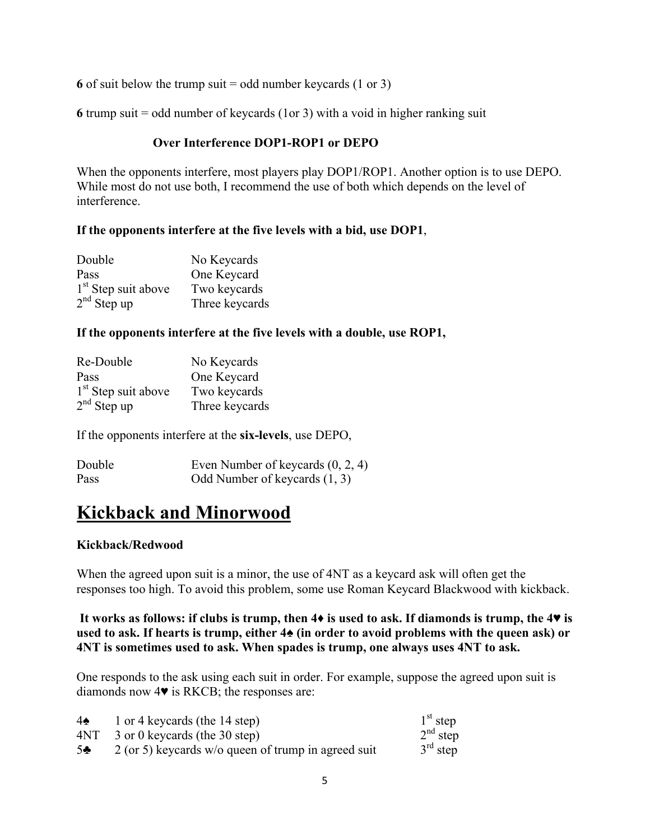**6** of suit below the trump suit = odd number keycards (1 or 3)

**6** trump suit = odd number of keycards (1or 3) with a void in higher ranking suit

## **Over Interference DOP1-ROP1 or DEPO**

When the opponents interfere, most players play DOP1/ROP1. Another option is to use DEPO. While most do not use both, I recommend the use of both which depends on the level of interference.

## **If the opponents interfere at the five levels with a bid, use DOP1**,

| Double                | No Keycards    |
|-----------------------|----------------|
| Pass                  | One Keycard    |
| $1st$ Step suit above | Two keycards   |
| $2nd$ Step up         | Three keycards |

#### **If the opponents interfere at the five levels with a double, use ROP1,**

| Re-Double                       | No Keycards    |
|---------------------------------|----------------|
| Pass                            | One Keycard    |
| 1 <sup>st</sup> Step suit above | Two keycards   |
| $2nd$ Step up                   | Three keycards |

If the opponents interfere at the **six-levels**, use DEPO,

| Double | Even Number of keycards $(0, 2, 4)$ |
|--------|-------------------------------------|
| Pass   | Odd Number of keycards (1, 3)       |

## **Kickback and Minorwood**

## **Kickback/Redwood**

When the agreed upon suit is a minor, the use of 4NT as a keycard ask will often get the responses too high. To avoid this problem, some use Roman Keycard Blackwood with kickback.

## **It works as follows: if clubs is trump, then 4♦ is used to ask. If diamonds is trump, the 4♥ is used to ask. If hearts is trump, either 4♠ (in order to avoid problems with the queen ask) or 4NT is sometimes used to ask. When spades is trump, one always uses 4NT to ask.**

One responds to the ask using each suit in order. For example, suppose the agreed upon suit is diamonds now 4♥ is RKCB; the responses are:

| $4\spadesuit$  | 1 or 4 keycards (the 14 step)                         | $1st$ step |
|----------------|-------------------------------------------------------|------------|
| 4NT            | 3 or 0 keycards (the 30 step)                         | $2nd$ step |
| 5 <sub>2</sub> | $2$ (or 5) keycards w/o queen of trump in agreed suit | $3rd$ step |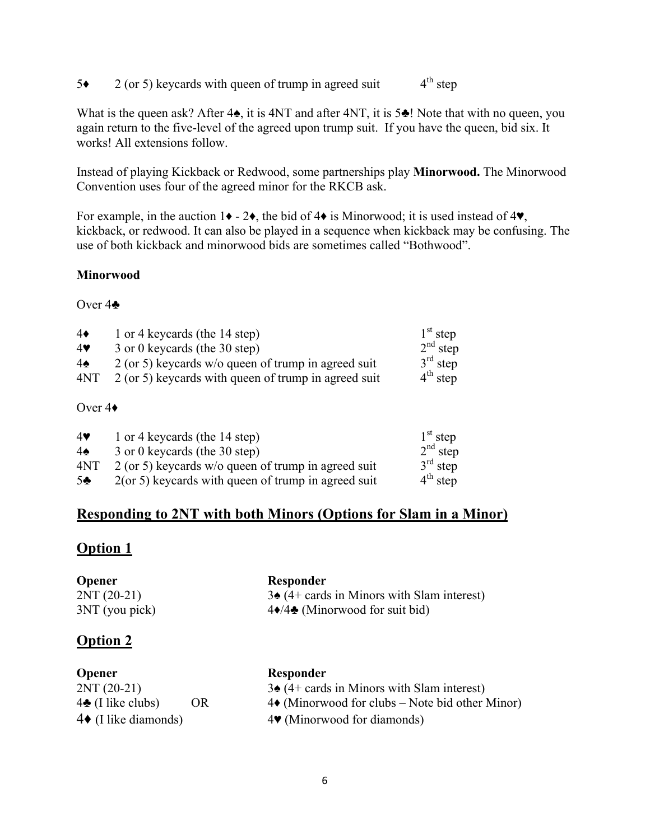$5\bullet$  2 (or 5) keycards with queen of trump in agreed suit  $4^{\text{th}}$  step

What is the queen ask? After 4 $\spadesuit$ , it is 4NT and after 4NT, it is 5 $\clubsuit$ ! Note that with no queen, you again return to the five-level of the agreed upon trump suit. If you have the queen, bid six. It works! All extensions follow.

Instead of playing Kickback or Redwood, some partnerships play **Minorwood.** The Minorwood Convention uses four of the agreed minor for the RKCB ask.

For example, in the auction  $1\blacklozenge - 2\blacklozenge$ , the bid of  $4\blacklozenge$  is Minorwood; it is used instead of  $4\blacktriangledown$ , kickback, or redwood. It can also be played in a sequence when kickback may be confusing. The use of both kickback and minorwood bids are sometimes called "Bothwood".

## **Minorwood**

#### Over 4♣

| $4\bullet$    | 1 or 4 keycards (the 14 step)                         | $1st$ step |
|---------------|-------------------------------------------------------|------------|
| 4             | 3 or 0 keycards (the 30 step)                         | $2nd$ step |
| $4\spadesuit$ | $2$ (or 5) keycards w/o queen of trump in agreed suit | $3rd$ step |
| 4NT           | 2 (or 5) keycards with queen of trump in agreed suit  | $4th$ step |
|               |                                                       |            |

## Over 4♦

| 4              | 1 or 4 keycards (the 14 step)                          | $1st$ step |
|----------------|--------------------------------------------------------|------------|
| $4\spadesuit$  | 3 or 0 keycards (the 30 step)                          | $2nd$ step |
| 4NT            | $2$ (or 5) keycards w/o queen of trump in agreed suit  | $3rd$ step |
| 5 <sub>2</sub> | $2($ or 5) keycards with queen of trump in agreed suit | $4th$ step |

## **Responding to 2NT with both Minors (Options for Slam in a Minor)**

## **Option 1**

| <b>Opener</b>   | Responder                                                |
|-----------------|----------------------------------------------------------|
| $2NT(20-21)$    | $3\spadesuit$ (4+ cards in Minors with Slam interest)    |
| 3NT (you pick)  | $4\blacklozenge/4\blacklozenge$ (Minorwood for suit bid) |
| <b>Option 2</b> |                                                          |

| <b>Opener</b>                |     | Responder                                               |
|------------------------------|-----|---------------------------------------------------------|
| $2NT(20-21)$                 |     | $3\spadesuit$ (4+ cards in Minors with Slam interest)   |
| $4\clubsuit$ (I like clubs)  | OR. | $4\bullet$ (Minorwood for clubs – Note bid other Minor) |
| $4\bullet$ (I like diamonds) |     | $4\blacktriangleright$ (Minorwood for diamonds)         |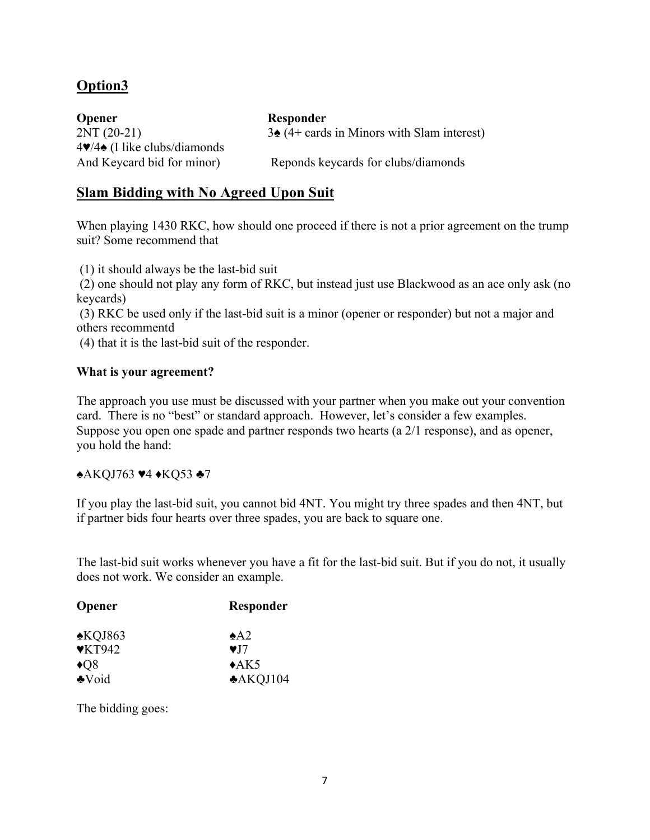## **Option3**

**Opener Responder** 4♥/4♠ (I like clubs/diamonds

 $2NT (20-21)$  3 $\triangleq$  (4+ cards in Minors with Slam interest)

And Keycard bid for minor) Reponds keycards for clubs/diamonds

## **Slam Bidding with No Agreed Upon Suit**

When playing 1430 RKC, how should one proceed if there is not a prior agreement on the trump suit? Some recommend that

(1) it should always be the last-bid suit

(2) one should not play any form of RKC, but instead just use Blackwood as an ace only ask (no keycards)

(3) RKC be used only if the last-bid suit is a minor (opener or responder) but not a major and others recommentd

(4) that it is the last-bid suit of the responder.

## **What is your agreement?**

The approach you use must be discussed with your partner when you make out your convention card. There is no "best" or standard approach. However, let's consider a few examples. Suppose you open one spade and partner responds two hearts (a 2/1 response), and as opener, you hold the hand:

#### ♠AKQJ763 ♥4 ♦KQ53 ♣7

If you play the last-bid suit, you cannot bid 4NT. You might try three spades and then 4NT, but if partner bids four hearts over three spades, you are back to square one.

The last-bid suit works whenever you have a fit for the last-bid suit. But if you do not, it usually does not work. We consider an example.

| Opener                     | Responder            |  |
|----------------------------|----------------------|--|
| $\triangle KQJ863$         | $\triangle$ A2       |  |
| $\blacktriangledown$ KT942 | $\blacktriangledown$ |  |
| $\triangleleft$ Q8         | $\triangle$ AK5      |  |
| <b>Noid</b>                | A KQJ104             |  |

The bidding goes: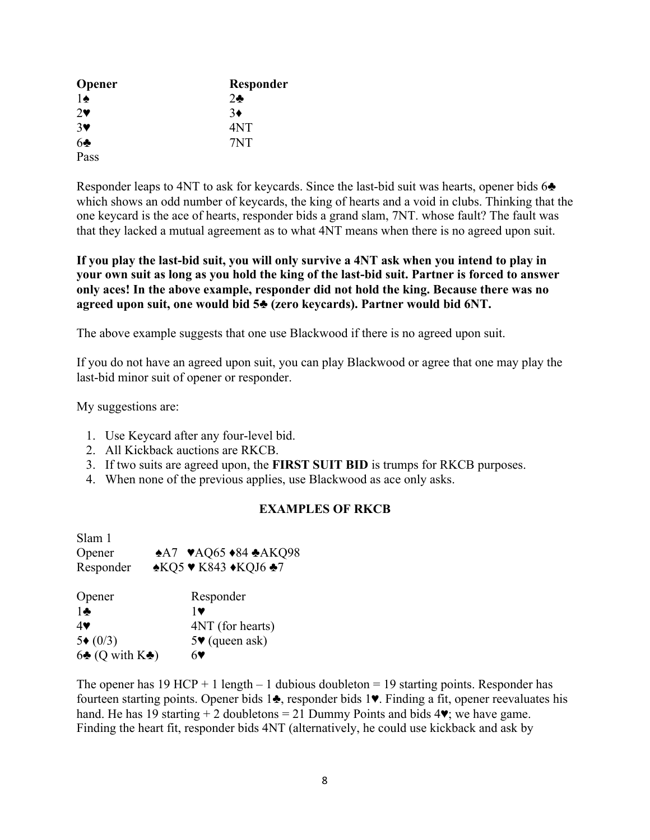| <b>Opener</b>         | Responder  |
|-----------------------|------------|
| $1\spadesuit$         | $2\bullet$ |
| $2\bullet$            | $3\bullet$ |
| $3\blacktriangledown$ | 4NT        |
| 6 <sub>2</sub>        | 7NT        |
| Pass                  |            |

Responder leaps to 4NT to ask for keycards. Since the last-bid suit was hearts, opener bids 6 $\triangle$ which shows an odd number of keycards, the king of hearts and a void in clubs. Thinking that the one keycard is the ace of hearts, responder bids a grand slam, 7NT. whose fault? The fault was that they lacked a mutual agreement as to what 4NT means when there is no agreed upon suit.

**If you play the last-bid suit, you will only survive a 4NT ask when you intend to play in your own suit as long as you hold the king of the last-bid suit. Partner is forced to answer only aces! In the above example, responder did not hold the king. Because there was no agreed upon suit, one would bid 5♣ (zero keycards). Partner would bid 6NT.** 

The above example suggests that one use Blackwood if there is no agreed upon suit.

If you do not have an agreed upon suit, you can play Blackwood or agree that one may play the last-bid minor suit of opener or responder.

My suggestions are:

- 1. Use Keycard after any four-level bid.
- 2. All Kickback auctions are RKCB.
- 3. If two suits are agreed upon, the **FIRST SUIT BID** is trumps for RKCB purposes.
- 4. When none of the previous applies, use Blackwood as ace only asks.

## **EXAMPLES OF RKCB**

| Slam 1                              |                                                                                      |
|-------------------------------------|--------------------------------------------------------------------------------------|
| Opener                              | $A7$ $\blacktriangleright$ AQ65 $\blacktriangleright$ 84 $\blacktriangleright$ AKQ98 |
| Responder                           | <b>AKQ5 ♥ K843 ♦KQJ6 ♣7</b>                                                          |
| Opener                              | Responder                                                                            |
| $1 -$                               | 1 v                                                                                  |
| 4♥                                  | 4NT (for hearts)                                                                     |
| $5*(0/3)$                           | $5\blacktriangleright$ (queen ask)                                                   |
| $6\clubsuit$ (Q with $K\clubsuit$ ) |                                                                                      |

The opener has 19 HCP + 1 length  $-1$  dubious doubleton = 19 starting points. Responder has fourteen starting points. Opener bids 1♣, responder bids 1♥. Finding a fit, opener reevaluates his hand. He has 19 starting  $+ 2$  doubletons = 21 Dummy Points and bids  $4\blacktriangledown$ ; we have game. Finding the heart fit, responder bids 4NT (alternatively, he could use kickback and ask by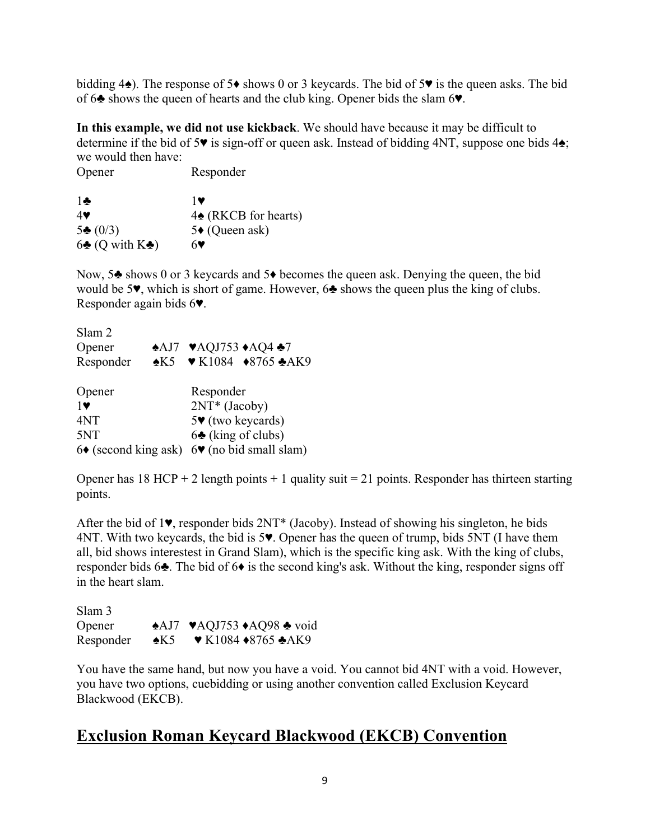bidding  $4\spadesuit$ ). The response of 5 $\spadesuit$  shows 0 or 3 keycards. The bid of 5 $\pmb{v}$  is the queen asks. The bid of 6♣ shows the queen of hearts and the club king. Opener bids the slam 6♥.

**In this example, we did not use kickback**. We should have because it may be difficult to determine if the bid of 5♥ is sign-off or queen ask. Instead of bidding 4NT, suppose one bids 4♠; we would then have:

| Opener | Responder |
|--------|-----------|
|        |           |

| $\mathbf{1}$                         | 10                              |
|--------------------------------------|---------------------------------|
| $4$ V                                | $4\spadesuit$ (RKCB for hearts) |
| $5\clubsuit (0/3)$                   | 5◆ (Queen ask)                  |
| $6\clubsuit$ (Q with K $\clubsuit$ ) | 67                              |

Now, 5<sup>★</sup> shows 0 or 3 keycards and 5◆ becomes the queen ask. Denying the queen, the bid would be 5♥, which is short of game. However, 6♣ shows the queen plus the king of clubs. Responder again bids 6♥.

| Slam 2                                                      |  |                                                                       |  |
|-------------------------------------------------------------|--|-----------------------------------------------------------------------|--|
| Opener                                                      |  | ◆AJ7 ♥AQJ753 ◆AQ4 ◆7                                                  |  |
| Responder                                                   |  | $\triangle K5$ $\triangledown K1084$ $\triangle 8765$ $\triangle AK9$ |  |
| Opener                                                      |  | Responder                                                             |  |
| $1\blacktriangledown$                                       |  | 2NT* (Jacoby)                                                         |  |
| 4NT                                                         |  | $5\blacktriangleright$ (two keycards)                                 |  |
| 5NT                                                         |  | $6\clubsuit$ (king of clubs)                                          |  |
| $6\bullet$ (second king ask) $6\bullet$ (no bid small slam) |  |                                                                       |  |

Opener has  $18$  HCP + 2 length points + 1 quality suit = 21 points. Responder has thirteen starting points.

After the bid of 1♥, responder bids 2NT\* (Jacoby). Instead of showing his singleton, he bids 4NT. With two keycards, the bid is 5♥. Opener has the queen of trump, bids 5NT (I have them all, bid shows interestest in Grand Slam), which is the specific king ask. With the king of clubs, responder bids 6♣. The bid of 6♦ is the second king's ask. Without the king, responder signs off in the heart slam.

| Slam 3    |                |                                                                                |
|-----------|----------------|--------------------------------------------------------------------------------|
| Opener    |                | $\triangle$ AJ7 $\blacktriangleright$ AQJ753 $\triangle$ AQ98 $\triangle$ void |
| Responder | $\triangle$ K5 | $\blacktriangleright$ K1084 $\blacklozenge$ 8765 $\blacktriangleright$ AK9     |

You have the same hand, but now you have a void. You cannot bid 4NT with a void. However, you have two options, cuebidding or using another convention called Exclusion Keycard Blackwood (EKCB).

## **Exclusion Roman Keycard Blackwood (EKCB) Convention**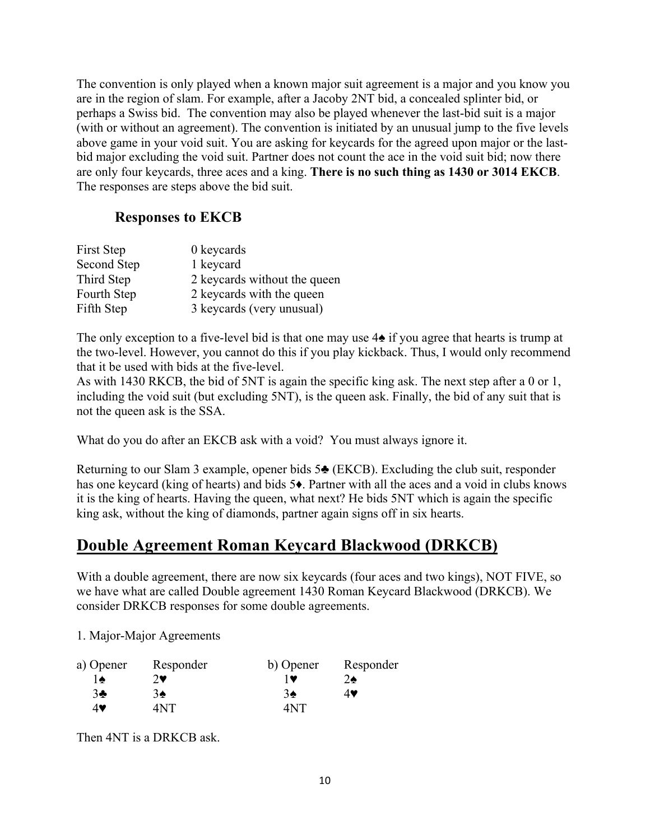The convention is only played when a known major suit agreement is a major and you know you are in the region of slam. For example, after a Jacoby 2NT bid, a concealed splinter bid, or perhaps a Swiss bid. The convention may also be played whenever the last-bid suit is a major (with or without an agreement). The convention is initiated by an unusual jump to the five levels above game in your void suit. You are asking for keycards for the agreed upon major or the lastbid major excluding the void suit. Partner does not count the ace in the void suit bid; now there are only four keycards, three aces and a king. **There is no such thing as 1430 or 3014 EKCB**. The responses are steps above the bid suit.

## **Responses to EKCB**

| First Step  | 0 keycards                   |
|-------------|------------------------------|
| Second Step | 1 keycard                    |
| Third Step  | 2 keycards without the queen |
| Fourth Step | 2 keycards with the queen    |
| Fifth Step  | 3 keycards (very unusual)    |

The only exception to a five-level bid is that one may use  $4\triangle$  if you agree that hearts is trump at the two-level. However, you cannot do this if you play kickback. Thus, I would only recommend that it be used with bids at the five-level.

As with 1430 RKCB, the bid of 5NT is again the specific king ask. The next step after a 0 or 1, including the void suit (but excluding 5NT), is the queen ask. Finally, the bid of any suit that is not the queen ask is the SSA.

What do you do after an EKCB ask with a void? You must always ignore it.

Returning to our Slam 3 example, opener bids 5♣ (EKCB). Excluding the club suit, responder has one keycard (king of hearts) and bids 5♦. Partner with all the aces and a void in clubs knows it is the king of hearts. Having the queen, what next? He bids 5NT which is again the specific king ask, without the king of diamonds, partner again signs off in six hearts.

## **Double Agreement Roman Keycard Blackwood (DRKCB)**

With a double agreement, there are now six keycards (four aces and two kings), NOT FIVE, so we have what are called Double agreement 1430 Roman Keycard Blackwood (DRKCB). We consider DRKCB responses for some double agreements.

1. Major-Major Agreements

| a) Opener    | Responder  | b) Opener     | Responder  |
|--------------|------------|---------------|------------|
| 1♠           | $2\bullet$ |               | $2\bullet$ |
| $3\clubsuit$ | 3♠         | $3\spadesuit$ | 4♥         |
| 4♥           | ANT        | 4NT           |            |

Then 4NT is a DRKCB ask.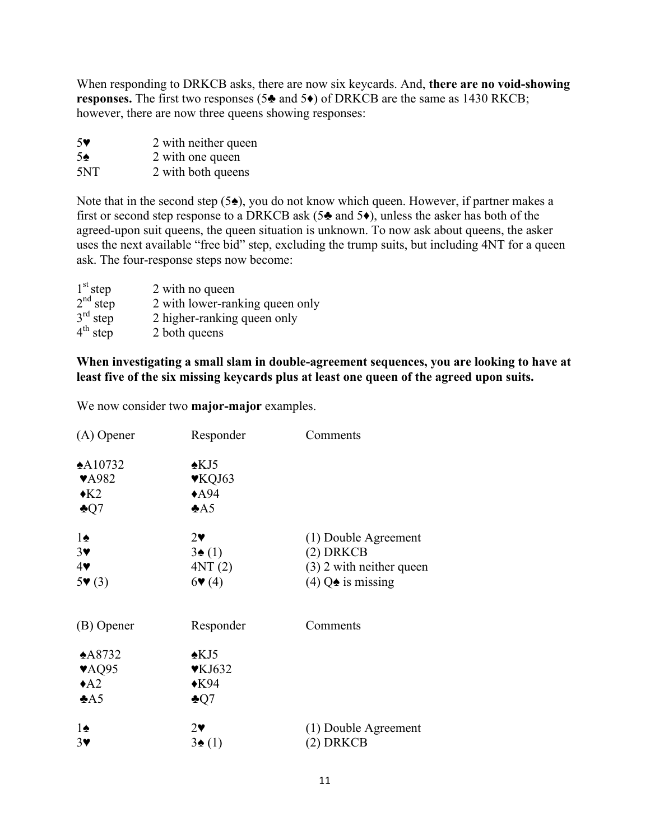When responding to DRKCB asks, there are now six keycards. And, **there are no void-showing responses.** The first two responses (5♣ and 5♦) of DRKCB are the same as 1430 RKCB; however, there are now three queens showing responses:

- 5♥ 2 with neither queen
- 5♠ 2 with one queen
- 5NT 2 with both queens

Note that in the second step (5♠), you do not know which queen. However, if partner makes a first or second step response to a DRKCB ask (5 $\triangle$  and 5 $\bullet$ ), unless the asker has both of the agreed-upon suit queens, the queen situation is unknown. To now ask about queens, the asker uses the next available "free bid" step, excluding the trump suits, but including 4NT for a queen ask. The four-response steps now become:

| $1st$ step | 2 with no queen                 |
|------------|---------------------------------|
| $2nd$ step | 2 with lower-ranking queen only |
| $3rd$ step | 2 higher-ranking queen only     |
| $4th$ step | 2 both queens                   |

## **When investigating a small slam in double-agreement sequences, you are looking to have at least five of the six missing keycards plus at least one queen of the agreed upon suits.**

We now consider two **major-major** examples.

| $(A)$ Opener              | Responder                  | Comments                     |
|---------------------------|----------------------------|------------------------------|
| $*A10732$                 | $\triangle$ KJ5            |                              |
| <b>VA982</b>              | ♥KQJ63                     |                              |
| $\triangleleft$ K2        | $*$ A94                    |                              |
| $\clubsuit$ Q7            | A5                         |                              |
| $1\spadesuit$             | $2\bullet$                 | (1) Double Agreement         |
| $3\blacktriangledown$     | $3\spadesuit(1)$           | $(2)$ DRKCB                  |
| $4\blacktriangledown$     | 4NT(2)                     | $(3)$ 2 with neither queen   |
| 5(3)                      | 6(4)                       | (4) $Q\spadesuit$ is missing |
| (B) Opener                | Responder                  | Comments                     |
| $*A8732$                  | $\triangle$ KJ5            |                              |
| $\blacktriangledown$ AQ95 | $\blacktriangledown$ KJ632 |                              |
| $\triangle$ A2            | $\triangle$ K94            |                              |
| A5                        | $\clubsuit$ Q7             |                              |
| $1\spadesuit$             | $2\bullet$                 | (1) Double Agreement         |
| $3\blacktriangledown$     | $3\spadesuit(1)$           | (2) DRKCB                    |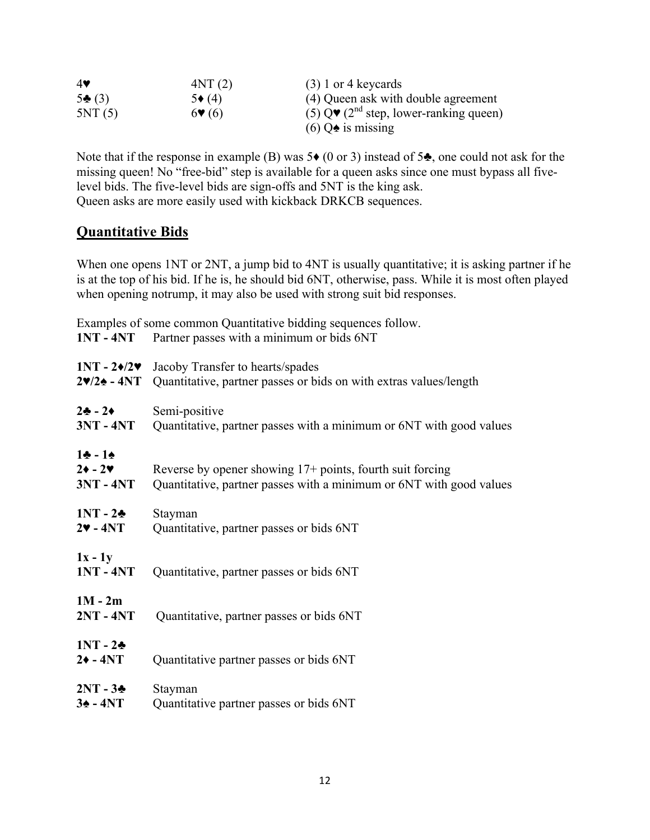| $4\bullet$      | 4NT(2)                   | $(3)$ 1 or 4 keycards                                                 |
|-----------------|--------------------------|-----------------------------------------------------------------------|
| $5\clubsuit(3)$ | $5*(4)$                  | (4) Queen ask with double agreement                                   |
| 5NT(5)          | $6\blacktriangledown(6)$ | (5) $Q\blacktriangledown$ (2 <sup>nd</sup> step, lower-ranking queen) |
|                 |                          | $(6)$ Q $\bullet$ is missing                                          |

Note that if the response in example (B) was  $5\bullet$  (0 or 3) instead of  $5\bullet$ , one could not ask for the missing queen! No "free-bid" step is available for a queen asks since one must bypass all fivelevel bids. The five-level bids are sign-offs and 5NT is the king ask. Queen asks are more easily used with kickback DRKCB sequences.

## **Quantitative Bids**

When one opens 1NT or 2NT, a jump bid to 4NT is usually quantitative; it is asking partner if he is at the top of his bid. If he is, he should bid 6NT, otherwise, pass. While it is most often played when opening notrump, it may also be used with strong suit bid responses.

Examples of some common Quantitative bidding sequences follow. **1NT - 4NT** Partner passes with a minimum or bids 6NT **1NT - 2♦/2♥** Jacoby Transfer to hearts/spades **2♥/2♠ - 4NT** Quantitative, partner passes or bids on with extras values/length **2♣ - 2♦** Semi-positive **3NT - 4NT** Quantitative, partner passes with a minimum or 6NT with good values **1♣ - 1♠ 2♦ - 2♥** Reverse by opener showing 17+ points, fourth suit forcing **3NT - 4NT** Quantitative, partner passes with a minimum or 6NT with good values **1NT - 2♣** Stayman **2♥ - 4NT** Quantitative, partner passes or bids 6NT **1x - 1y 1NT - 4NT** Quantitative, partner passes or bids 6NT **1M - 2m 2NT - 4NT** Quantitative, partner passes or bids 6NT **1NT - 2♣ 2♦ - 4NT** Quantitative partner passes or bids 6NT **2NT - 3♣** Stayman **3♠ - 4NT** Quantitative partner passes or bids 6NT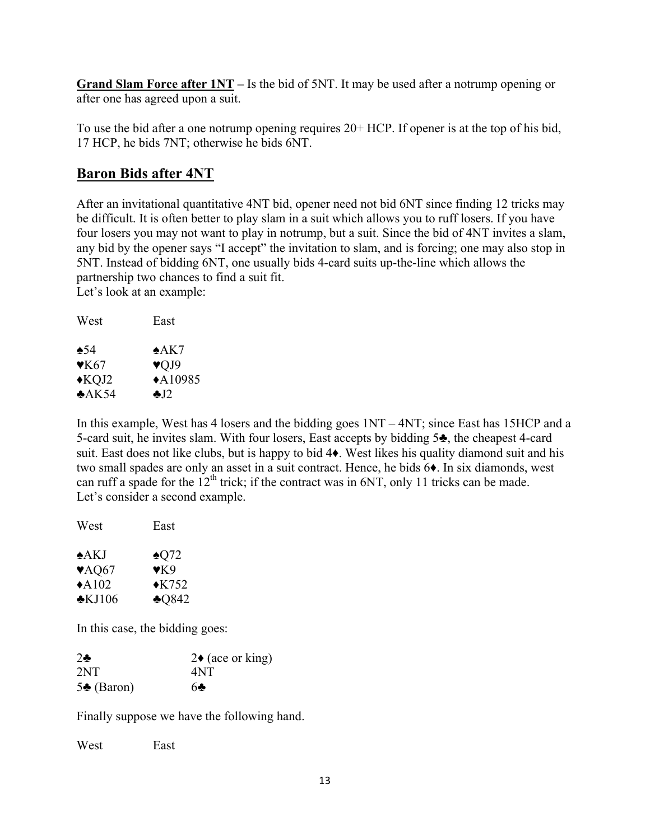**Grand Slam Force after 1NT –** Is the bid of 5NT. It may be used after a notrump opening or after one has agreed upon a suit.

To use the bid after a one notrump opening requires 20+ HCP. If opener is at the top of his bid, 17 HCP, he bids 7NT; otherwise he bids 6NT.

## **Baron Bids after 4NT**

After an invitational quantitative 4NT bid, opener need not bid 6NT since finding 12 tricks may be difficult. It is often better to play slam in a suit which allows you to ruff losers. If you have four losers you may not want to play in notrump, but a suit. Since the bid of 4NT invites a slam, any bid by the opener says "I accept" the invitation to slam, and is forcing; one may also stop in 5NT. Instead of bidding 6NT, one usually bids 4-card suits up-the-line which allows the partnership two chances to find a suit fit. Let's look at an example:

| West                     | East                    |
|--------------------------|-------------------------|
| $\triangle$ 54           | $*AK7$                  |
| $\blacktriangledown$ K67 | $\blacktriangledown$ J9 |
| $\triangle$ KQJ2         | $*A10985$               |
| $*AK54$                  | $\clubsuit$ . 12        |

In this example, West has 4 losers and the bidding goes 1NT – 4NT; since East has 15HCP and a 5-card suit, he invites slam. With four losers, East accepts by bidding 5♣, the cheapest 4-card suit. East does not like clubs, but is happy to bid 4♦. West likes his quality diamond suit and his two small spades are only an asset in a suit contract. Hence, he bids 6♦. In six diamonds, west can ruff a spade for the  $12<sup>th</sup>$  trick; if the contract was in 6NT, only 11 tricks can be made. Let's consider a second example.

| West                      | East             |
|---------------------------|------------------|
| $\triangle$ AKJ           | $\triangle$ 072  |
| $\blacktriangledown$ AQ67 | $\mathbf{v}$ K9  |
| $\triangle$ A102          | $\triangle$ K752 |
| $\cdot$ KJ106             | $*0842$          |

In this case, the bidding goes:

| $2\bullet$           | $2\bullet$ (ace or king) |
|----------------------|--------------------------|
| 2NT                  | 4NT                      |
| $5\clubsuit$ (Baron) | 60                       |

Finally suppose we have the following hand.

West East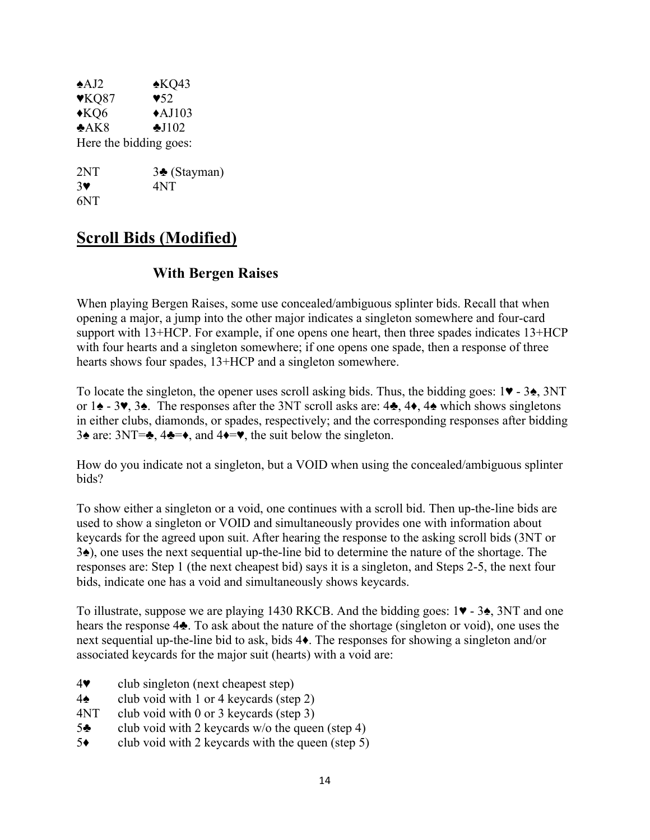| $\triangle$ AJ2       | $*KQ43$                 |
|-----------------------|-------------------------|
| $\mathbf{V}KQ87$      | $\blacktriangledown 52$ |
| $*KQ6$                | $\triangle$ AJ103       |
| A K8                  | $\triangle$ J $102$     |
|                       | Here the bidding goes:  |
| 2NT                   | 3♣ (Stayman)            |
| $3\blacktriangledown$ | 4NT                     |

6NT

## **Scroll Bids (Modified)**

## **With Bergen Raises**

When playing Bergen Raises, some use concealed/ambiguous splinter bids. Recall that when opening a major, a jump into the other major indicates a singleton somewhere and four-card support with 13+HCP. For example, if one opens one heart, then three spades indicates 13+HCP with four hearts and a singleton somewhere; if one opens one spade, then a response of three hearts shows four spades, 13+HCP and a singleton somewhere.

To locate the singleton, the opener uses scroll asking bids. Thus, the bidding goes:  $1\blacktriangledown - 3\blacktriangle$ ,  $3NT$ or 1♠ - 3♥, 3♠. The responses after the 3NT scroll asks are: 4♣, 4♦, 4♠ which shows singletons in either clubs, diamonds, or spades, respectively; and the corresponding responses after bidding 3♠ are: 3NT=♣, 4♣=♦, and 4♦=♥, the suit below the singleton.

How do you indicate not a singleton, but a VOID when using the concealed/ambiguous splinter bids?

To show either a singleton or a void, one continues with a scroll bid. Then up-the-line bids are used to show a singleton or VOID and simultaneously provides one with information about keycards for the agreed upon suit. After hearing the response to the asking scroll bids (3NT or 3♠), one uses the next sequential up-the-line bid to determine the nature of the shortage. The responses are: Step 1 (the next cheapest bid) says it is a singleton, and Steps 2-5, the next four bids, indicate one has a void and simultaneously shows keycards.

To illustrate, suppose we are playing 1430 RKCB. And the bidding goes: 1♥ - 3♠, 3NT and one hears the response 4♣. To ask about the nature of the shortage (singleton or void), one uses the next sequential up-the-line bid to ask, bids 4♦. The responses for showing a singleton and/or associated keycards for the major suit (hearts) with a void are:

- 4♥ club singleton (next cheapest step)
- $4\spadesuit$  club void with 1 or 4 keycards (step 2)
- 4NT club void with 0 or 3 keycards (step 3)
- 5 $\triangle$  club void with 2 keycards w/o the queen (step 4)
- $5\bullet$  club void with 2 keycards with the queen (step 5)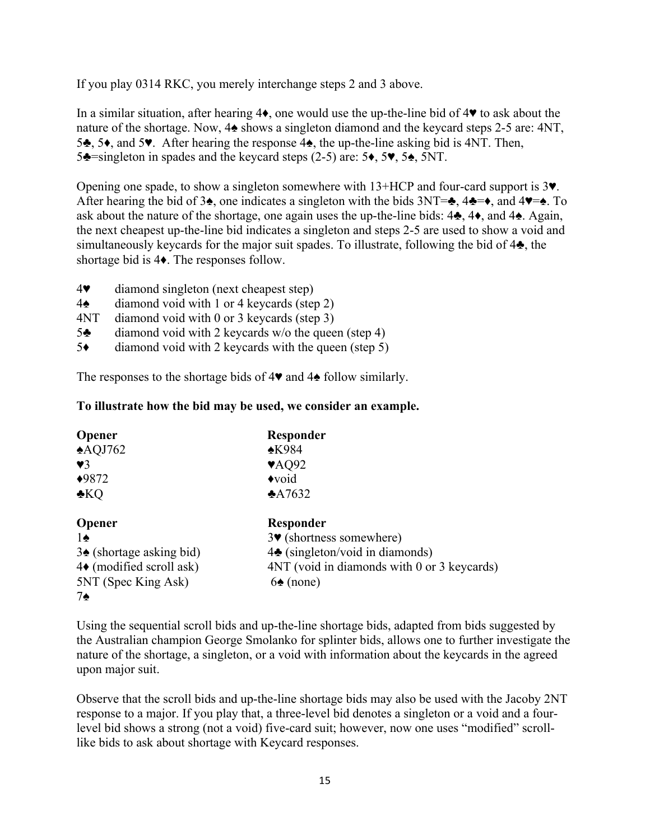If you play 0314 RKC, you merely interchange steps 2 and 3 above.

In a similar situation, after hearing 4♦, one would use the up-the-line bid of 4♥ to ask about the nature of the shortage. Now, 4♠ shows a singleton diamond and the keycard steps 2-5 are: 4NT, 5♣, 5♦, and 5♥. After hearing the response 4♠, the up-the-line asking bid is 4NT. Then, 5♣=singleton in spades and the keycard steps (2-5) are: 5♦, 5♥, 5♠, 5NT.

Opening one spade, to show a singleton somewhere with 13+HCP and four-card support is 3♥. After hearing the bid of 3 $\triangle$ , one indicates a singleton with the bids 3NT= $\triangle$ , 4 $\triangle$ = $\triangle$ , and 4 $\blacktriangledown$ = $\triangle$ . To ask about the nature of the shortage, one again uses the up-the-line bids: 4♣, 4♦, and 4♠. Again, the next cheapest up-the-line bid indicates a singleton and steps 2-5 are used to show a void and simultaneously keycards for the major suit spades. To illustrate, following the bid of 4♣, the shortage bid is 4♦. The responses follow.

- 4♥ diamond singleton (next cheapest step)
- 4♠ diamond void with 1 or 4 keycards (step 2)
- 4NT diamond void with 0 or 3 keycards (step 3)
- 5♣ diamond void with 2 keycards w/o the queen (step 4)
- 5♦ diamond void with 2 keycards with the queen (step 5)

The responses to the shortage bids of 4♥ and 4♠ follow similarly.

## **To illustrate how the bid may be used, we consider an example.**

| <b>Opener</b>                       | Responder                                   |
|-------------------------------------|---------------------------------------------|
| $\triangle$ AQJ762                  | $*K984$                                     |
| $\mathbf{V}$ 3                      | $\blacktriangledown$ AQ92                   |
| $*9872$                             | $\triangle$ void                            |
| $\clubsuit KQ$                      | $*A7632$                                    |
| <b>Opener</b>                       | Responder                                   |
| 1♠                                  | $3\blacktriangledown$ (shortness somewhere) |
| $3\spadesuit$ (shortage asking bid) | $4\bullet$ (singleton/void in diamonds)     |
| $4\bullet$ (modified scroll ask)    | 4NT (void in diamonds with 0 or 3 keycards) |
| 5NT (Spec King Ask)                 | $6\spadesuit$ (none)                        |
| 7♠                                  |                                             |

Using the sequential scroll bids and up-the-line shortage bids, adapted from bids suggested by the Australian champion George Smolanko for splinter bids, allows one to further investigate the nature of the shortage, a singleton, or a void with information about the keycards in the agreed upon major suit.

Observe that the scroll bids and up-the-line shortage bids may also be used with the Jacoby 2NT response to a major. If you play that, a three-level bid denotes a singleton or a void and a fourlevel bid shows a strong (not a void) five-card suit; however, now one uses "modified" scrolllike bids to ask about shortage with Keycard responses.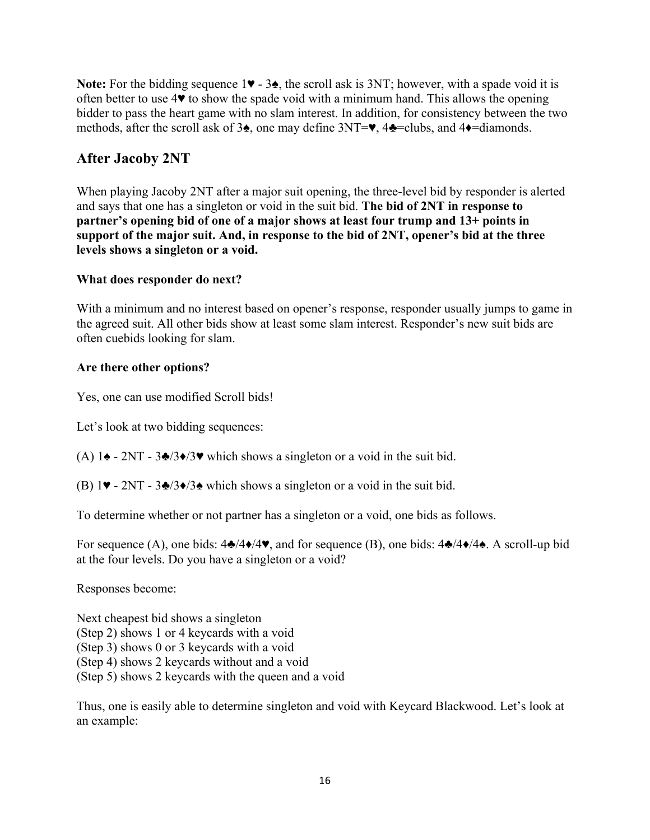**Note:** For the bidding sequence 1♥ - 3♠, the scroll ask is 3NT; however, with a spade void it is often better to use 4♥ to show the spade void with a minimum hand. This allows the opening bidder to pass the heart game with no slam interest. In addition, for consistency between the two methods, after the scroll ask of 3♠, one may define 3NT=♥, 4♣=clubs, and 4♦=diamonds.

## **After Jacoby 2NT**

When playing Jacoby 2NT after a major suit opening, the three-level bid by responder is alerted and says that one has a singleton or void in the suit bid. **The bid of 2NT in response to partner's opening bid of one of a major shows at least four trump and 13+ points in support of the major suit. And, in response to the bid of 2NT, opener's bid at the three levels shows a singleton or a void.** 

## **What does responder do next?**

With a minimum and no interest based on opener's response, responder usually jumps to game in the agreed suit. All other bids show at least some slam interest. Responder's new suit bids are often cuebids looking for slam.

## **Are there other options?**

Yes, one can use modified Scroll bids!

Let's look at two bidding sequences:

- (A) 1 $\blacktriangle$  2NT 3 $\blacktriangle$ /3 $\blacktriangleright$ /3 $\blacktriangleright$  which shows a singleton or a void in the suit bid.
- (B)  $1\blacktriangleright$  2NT 3♣/3♦/3♠ which shows a singleton or a void in the suit bid.

To determine whether or not partner has a singleton or a void, one bids as follows.

For sequence (A), one bids: 4♣/4♦/4♥, and for sequence (B), one bids: 4♣/4♦/4♠. A scroll-up bid at the four levels. Do you have a singleton or a void?

Responses become:

Next cheapest bid shows a singleton (Step 2) shows 1 or 4 keycards with a void (Step 3) shows 0 or 3 keycards with a void (Step 4) shows 2 keycards without and a void (Step 5) shows 2 keycards with the queen and a void

Thus, one is easily able to determine singleton and void with Keycard Blackwood. Let's look at an example: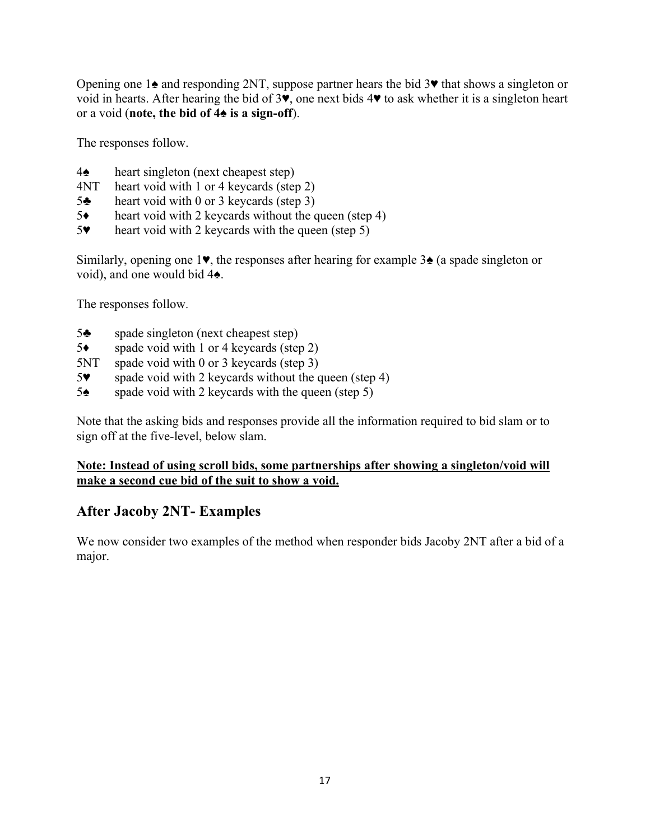Opening one 1♠ and responding 2NT, suppose partner hears the bid 3♥ that shows a singleton or void in hearts. After hearing the bid of 3♥, one next bids 4♥ to ask whether it is a singleton heart or a void (**note, the bid of 4♠ is a sign-off**).

The responses follow.

- 4♠ heart singleton (next cheapest step)
- 4NT heart void with 1 or 4 keycards (step 2)
- 5♣ heart void with 0 or 3 keycards (step 3)
- 5♦ heart void with 2 keycards without the queen (step 4)
- 5♥ heart void with 2 keycards with the queen (step 5)

Similarly, opening one 1♥, the responses after hearing for example 3♠ (a spade singleton or void), and one would bid 4♠.

The responses follow.

- 5♣ spade singleton (next cheapest step)
- 5♦ spade void with 1 or 4 keycards (step 2)
- 5NT spade void with 0 or 3 keycards (step 3)
- 5♥ spade void with 2 keycards without the queen (step 4)
- 5♠ spade void with 2 keycards with the queen (step 5)

Note that the asking bids and responses provide all the information required to bid slam or to sign off at the five-level, below slam.

## **Note: Instead of using scroll bids, some partnerships after showing a singleton/void will make a second cue bid of the suit to show a void.**

## **After Jacoby 2NT- Examples**

We now consider two examples of the method when responder bids Jacoby 2NT after a bid of a major.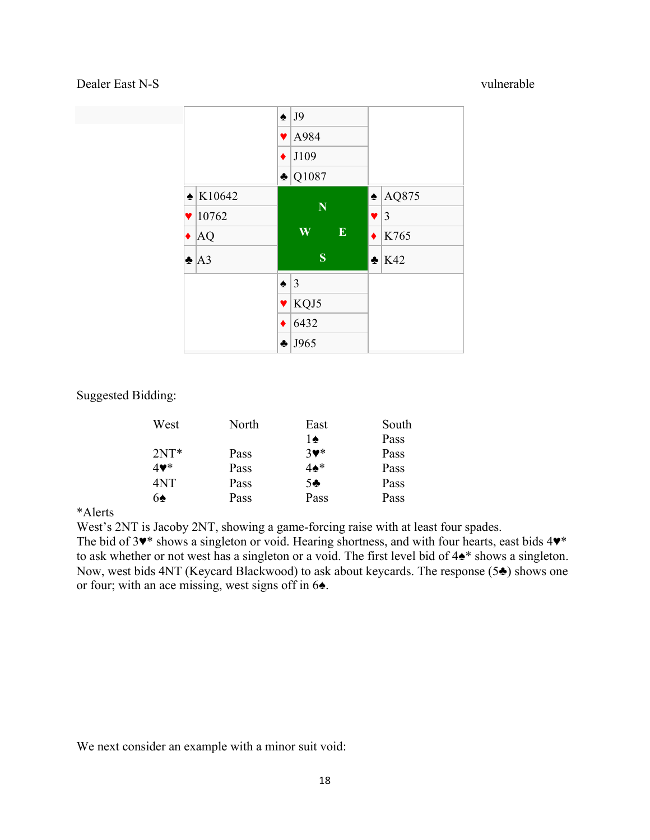## Dealer East N-S vulnerable



Suggested Bidding:

| West                       | North | East                       | South |
|----------------------------|-------|----------------------------|-------|
|                            |       | 1♠                         | Pass  |
| $2NT*$                     | Pass  | $3$ $\blacktriangledown^*$ | Pass  |
| $4$ $\blacktriangledown^*$ | Pass  | $4\spadesuit^*$            | Pass  |
| 4NT                        | Pass  | $5 -$                      | Pass  |
| $6\spadesuit$              | Pass  | Pass                       | Pass  |

#### \*Alerts

West's 2NT is Jacoby 2NT, showing a game-forcing raise with at least four spades.

The bid of 3♥\* shows a singleton or void. Hearing shortness, and with four hearts, east bids 4♥\* to ask whether or not west has a singleton or a void. The first level bid of 4♠\* shows a singleton. Now, west bids 4NT (Keycard Blackwood) to ask about keycards. The response (5♣) shows one or four; with an ace missing, west signs off in 6♠.

We next consider an example with a minor suit void: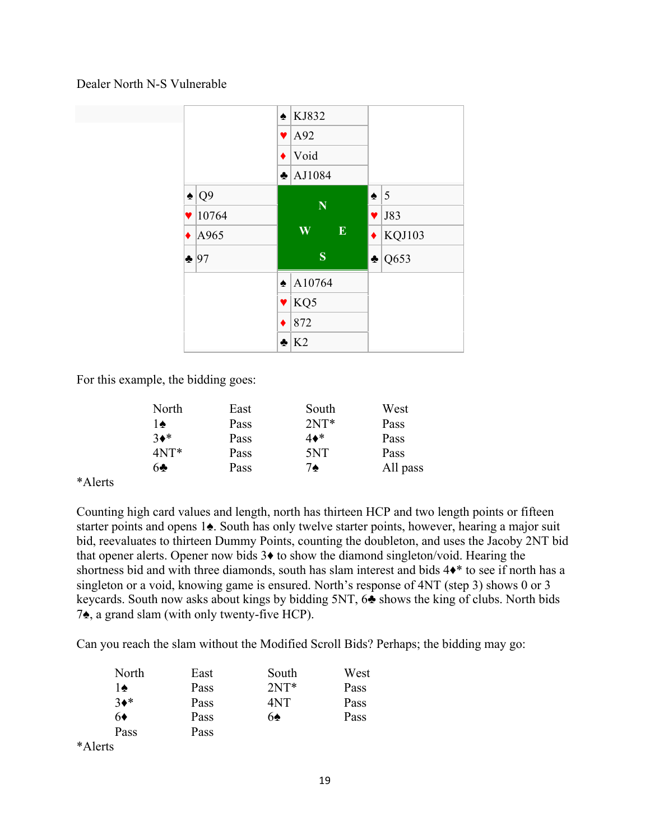#### Dealer North N-S Vulnerable



For this example, the bidding goes:

| East | South  | West     |
|------|--------|----------|
| Pass | $2NT*$ | Pass     |
| Pass | 4♦*    | Pass     |
| Pass | 5NT    | Pass     |
| Pass | 7♠     | All pass |
|      |        |          |

#### \*Alerts

Counting high card values and length, north has thirteen HCP and two length points or fifteen starter points and opens 1♠. South has only twelve starter points, however, hearing a major suit bid, reevaluates to thirteen Dummy Points, counting the doubleton, and uses the Jacoby 2NT bid that opener alerts. Opener now bids 3♦ to show the diamond singleton/void. Hearing the shortness bid and with three diamonds, south has slam interest and bids  $4\bullet^*$  to see if north has a singleton or a void, knowing game is ensured. North's response of 4NT (step 3) shows 0 or 3 keycards. South now asks about kings by bidding 5NT, 6♣ shows the king of clubs. North bids 7♠, a grand slam (with only twenty-five HCP).

Can you reach the slam without the Modified Scroll Bids? Perhaps; the bidding may go:

| North   | East | South  | West |
|---------|------|--------|------|
| 1♠      | Pass | $2NT*$ | Pass |
| $3*$    | Pass | 4NT    | Pass |
| 6♦      | Pass | 6♠     | Pass |
| Pass    | Pass |        |      |
| *Alerts |      |        |      |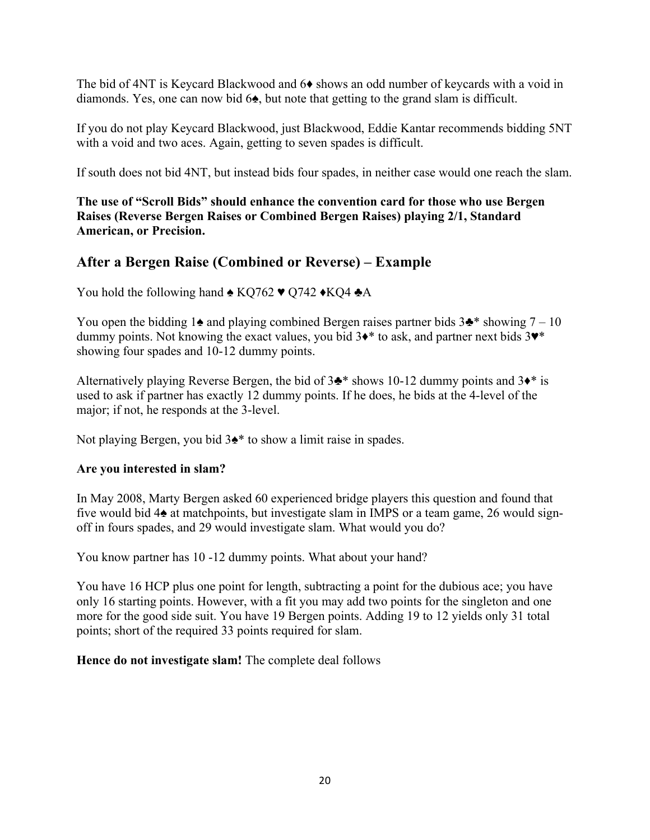The bid of 4NT is Keycard Blackwood and 6♦ shows an odd number of keycards with a void in diamonds. Yes, one can now bid 6♠, but note that getting to the grand slam is difficult.

If you do not play Keycard Blackwood, just Blackwood, Eddie Kantar recommends bidding 5NT with a void and two aces. Again, getting to seven spades is difficult.

If south does not bid 4NT, but instead bids four spades, in neither case would one reach the slam.

**The use of "Scroll Bids" should enhance the convention card for those who use Bergen Raises (Reverse Bergen Raises or Combined Bergen Raises) playing 2/1, Standard American, or Precision.**

## **After a Bergen Raise (Combined or Reverse) – Example**

You hold the following hand  $\triangle$  KQ762  $\blacktriangledown$  Q742  $\triangle$ KQ4  $\triangle$ A

You open the bidding 1 $\triangle$  and playing combined Bergen raises partner bids 3 $\triangle$ \* showing 7 – 10 dummy points. Not knowing the exact values, you bid 3<sup>♦\*</sup> to ask, and partner next bids 3<sup>♦\*</sup> showing four spades and 10-12 dummy points.

Alternatively playing Reverse Bergen, the bid of  $3\cdot\cdot\cdot$  shows 10-12 dummy points and  $3\cdot\cdot\cdot$  is used to ask if partner has exactly 12 dummy points. If he does, he bids at the 4-level of the major; if not, he responds at the 3-level.

Not playing Bergen, you bid 3♠\* to show a limit raise in spades.

#### **Are you interested in slam?**

In May 2008, Marty Bergen asked 60 experienced bridge players this question and found that five would bid 4♠ at matchpoints, but investigate slam in IMPS or a team game, 26 would signoff in fours spades, and 29 would investigate slam. What would you do?

You know partner has 10 -12 dummy points. What about your hand?

You have 16 HCP plus one point for length, subtracting a point for the dubious ace; you have only 16 starting points. However, with a fit you may add two points for the singleton and one more for the good side suit. You have 19 Bergen points. Adding 19 to 12 yields only 31 total points; short of the required 33 points required for slam.

**Hence do not investigate slam!** The complete deal follows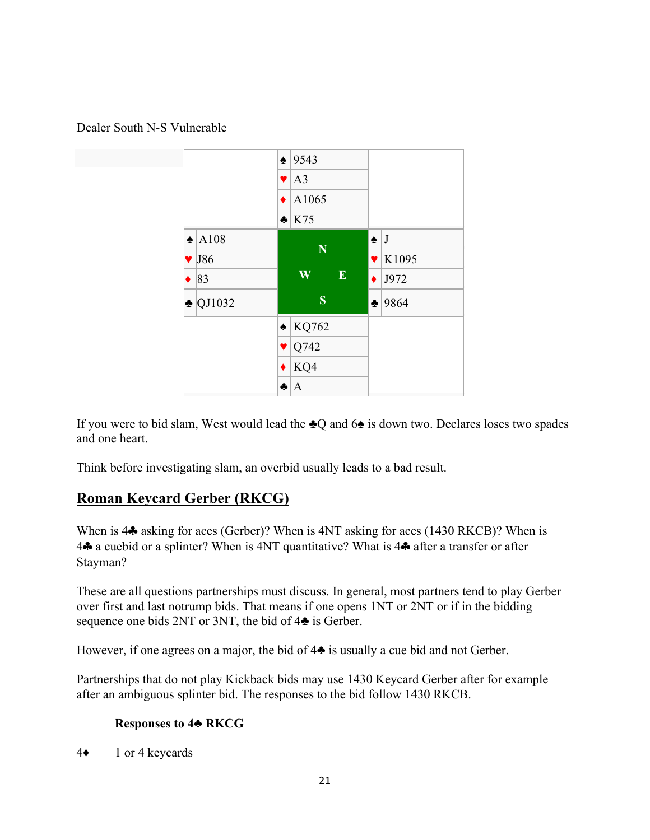



If you were to bid slam, West would lead the ♣Q and 6♠ is down two. Declares loses two spades and one heart.

Think before investigating slam, an overbid usually leads to a bad result.

## **Roman Keycard Gerber (RKCG)**

When is 4♣ asking for aces (Gerber)? When is 4NT asking for aces (1430 RKCB)? When is 4♣ a cuebid or a splinter? When is 4NT quantitative? What is 4♣ after a transfer or after Stayman?

These are all questions partnerships must discuss. In general, most partners tend to play Gerber over first and last notrump bids. That means if one opens 1NT or 2NT or if in the bidding sequence one bids 2NT or 3NT, the bid of 4♣ is Gerber.

However, if one agrees on a major, the bid of 4♣ is usually a cue bid and not Gerber.

Partnerships that do not play Kickback bids may use 1430 Keycard Gerber after for example after an ambiguous splinter bid. The responses to the bid follow 1430 RKCB.

## **Responses to 4♣ RKCG**

4♦ 1 or 4 keycards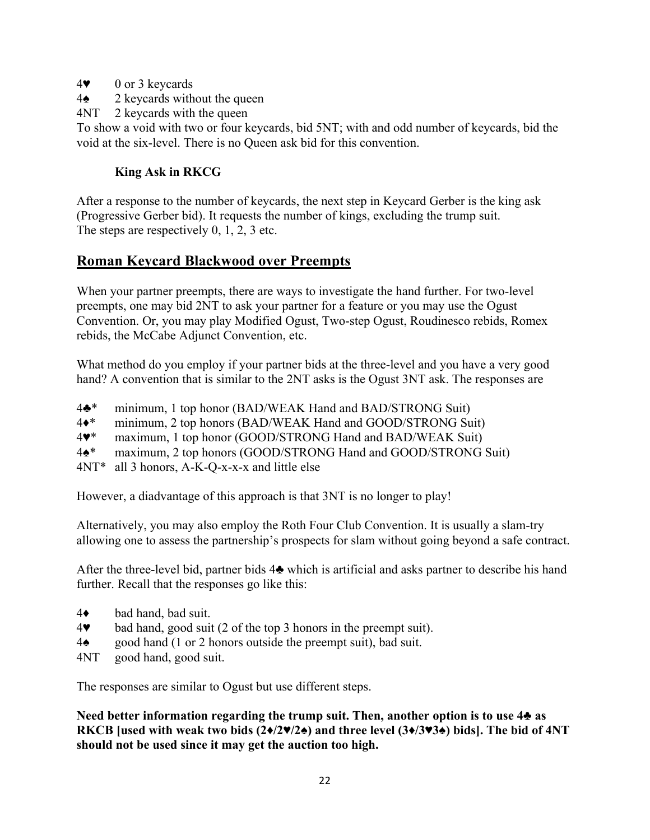- 4♥ 0 or 3 keycards
- 4♠ 2 keycards without the queen
- 4NT 2 keycards with the queen

To show a void with two or four keycards, bid 5NT; with and odd number of keycards, bid the void at the six-level. There is no Queen ask bid for this convention.

## **King Ask in RKCG**

After a response to the number of keycards, the next step in Keycard Gerber is the king ask (Progressive Gerber bid). It requests the number of kings, excluding the trump suit. The steps are respectively 0, 1, 2, 3 etc.

## **Roman Keycard Blackwood over Preempts**

When your partner preempts, there are ways to investigate the hand further. For two-level preempts, one may bid 2NT to ask your partner for a feature or you may use the Ogust Convention. Or, you may play Modified Ogust, Two-step Ogust, Roudinesco rebids, Romex rebids, the McCabe Adjunct Convention, etc.

What method do you employ if your partner bids at the three-level and you have a very good hand? A convention that is similar to the 2NT asks is the Ogust 3NT ask. The responses are

- 4♣\* minimum, 1 top honor (BAD/WEAK Hand and BAD/STRONG Suit)
- 4♦\* minimum, 2 top honors (BAD/WEAK Hand and GOOD/STRONG Suit)
- 4♥\* maximum, 1 top honor (GOOD/STRONG Hand and BAD/WEAK Suit)
- 4♠\* maximum, 2 top honors (GOOD/STRONG Hand and GOOD/STRONG Suit)

4NT\* all 3 honors, A-K-Q-x-x-x and little else

However, a diadvantage of this approach is that 3NT is no longer to play!

Alternatively, you may also employ the Roth Four Club Convention. It is usually a slam-try allowing one to assess the partnership's prospects for slam without going beyond a safe contract.

After the three-level bid, partner bids 4♣ which is artificial and asks partner to describe his hand further. Recall that the responses go like this:

- 4♦ bad hand, bad suit.
- 4♥ bad hand, good suit (2 of the top 3 honors in the preempt suit).
- 4♠ good hand (1 or 2 honors outside the preempt suit), bad suit.
- 4NT good hand, good suit.

The responses are similar to Ogust but use different steps.

**Need better information regarding the trump suit. Then, another option is to use 4♣ as RKCB [used with weak two bids (2♦/2♥/2♠) and three level (3♦/3♥3♠) bids]. The bid of 4NT should not be used since it may get the auction too high.**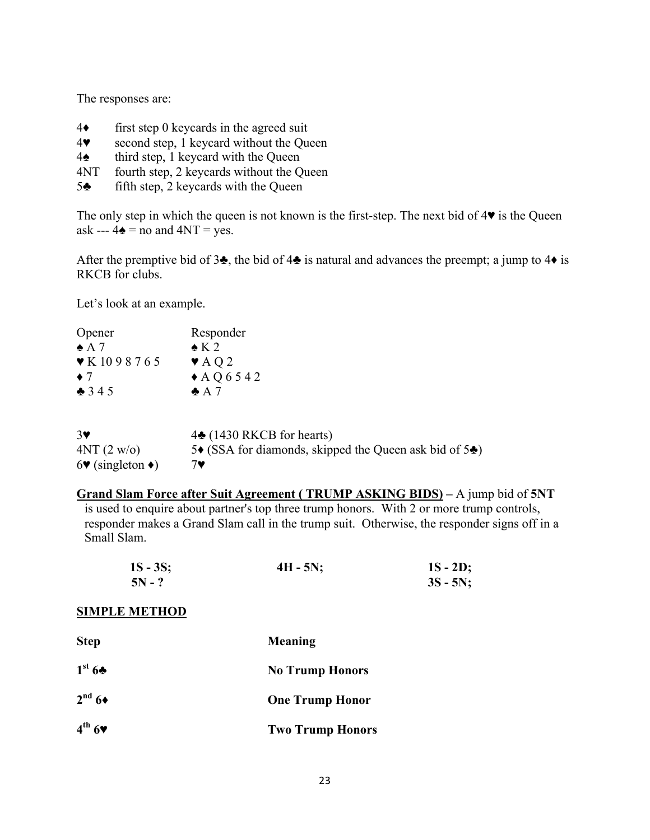The responses are:

- 4♦ first step 0 keycards in the agreed suit
- 4♥ second step, 1 keycard without the Queen
- 4♠ third step, 1 keycard with the Queen
- 4NT fourth step, 2 keycards without the Queen
- 5♣ fifth step, 2 keycards with the Queen

The only step in which the queen is not known is the first-step. The next bid of 4♥ is the Queen ask ---  $4\triangle$  = no and  $4NT = yes$ .

After the premptive bid of 3 $\clubsuit$ , the bid of 4 $\clubsuit$  is natural and advances the preempt; a jump to 4 $\bullet$  is RKCB for clubs.

Let's look at an example.

| Opener                                             | Responder                                                                 |
|----------------------------------------------------|---------------------------------------------------------------------------|
| $\triangle$ A 7                                    | $\bullet$ K 2                                                             |
| $\blacktriangleright$ K 1098765                    | $\blacktriangleright$ AQ2                                                 |
| $\bullet$ 7                                        | $\triangle$ AQ6542                                                        |
| 345                                                | $\triangle$ A 7                                                           |
| $3\blacktriangledown$                              | $4\spadesuit$ (1430 RKCB for hearts)                                      |
| 4NT (2 w/o)                                        | 5 $\bullet$ (SSA for diamonds, skipped the Queen ask bid of 5 $\bullet$ ) |
| $6\blacktriangledown$ (singleton $\blacklozenge$ ) | 7♥                                                                        |

**Grand Slam Force after Suit Agreement ( TRUMP ASKING BIDS) –** A jump bid of **5NT** is used to enquire about partner's top three trump honors. With 2 or more trump controls, responder makes a Grand Slam call in the trump suit. Otherwise, the responder signs off in a Small Slam.

| $1S - 3S$ ; | $4H - 5N$ ; | $1S - 2D$ ; |
|-------------|-------------|-------------|
| $5N - ?$    |             | $3S - 5N$ ; |

#### **SIMPLE METHOD**

| <b>Step</b>                     | Meaning                 |
|---------------------------------|-------------------------|
| 1 <sup>st</sup> 6               | <b>No Trump Honors</b>  |
| $2nd 6*$                        | <b>One Trump Honor</b>  |
| $4^{th}$ 6 $\blacktriangledown$ | <b>Two Trump Honors</b> |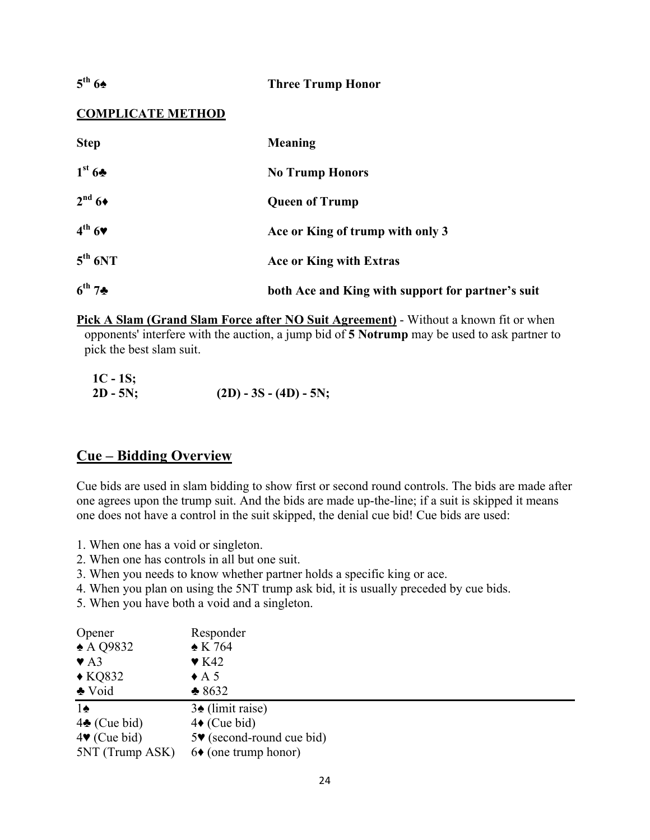## **5th 6♠ Three Trump Honor**

## **COMPLICATE METHOD**

| <b>Step</b>                     | <b>Meaning</b>                                    |
|---------------------------------|---------------------------------------------------|
| 1 <sup>st</sup> 6 <sub>2</sub>  | <b>No Trump Honors</b>                            |
| $2^{\mathrm{nd}}$ 6+            | <b>Queen of Trump</b>                             |
| $4^{th}$ 6 $\blacktriangledown$ | Ace or King of trump with only 3                  |
| $5^{th}$ 6NT                    | Ace or King with Extras                           |
| $6^{th}$ 7*                     | both Ace and King with support for partner's suit |

**Pick A Slam (Grand Slam Force after NO Suit Agreement)** - Without a known fit or when opponents' interfere with the auction, a jump bid of **5 Notrump** may be used to ask partner to pick the best slam suit.

| $1C - 1S$ ; |                           |
|-------------|---------------------------|
| $2D - 5N$ ; | $(2D) - 3S - (4D) - 5N$ ; |

## **Cue – Bidding Overview**

Cue bids are used in slam bidding to show first or second round controls. The bids are made after one agrees upon the trump suit. And the bids are made up-the-line; if a suit is skipped it means one does not have a control in the suit skipped, the denial cue bid! Cue bids are used:

- 1. When one has a void or singleton.
- 2. When one has controls in all but one suit.
- 3. When you needs to know whether partner holds a specific king or ace.
- 4. When you plan on using the 5NT trump ask bid, it is usually preceded by cue bids.
- 5. When you have both a void and a singleton.

| Opener                          | Responder                                     |
|---------------------------------|-----------------------------------------------|
| $\triangle$ A Q9832             | $\triangle$ K 764                             |
| $\blacktriangledown$ A3         | $\blacktriangledown$ K42                      |
| $\triangle$ KQ832               | $\triangle$ A 5                               |
| $\triangle Void$                | $*8632$                                       |
| $1\spadesuit$                   | $3\triangle$ (limit raise)                    |
| $4\clubsuit$ (Cue bid)          | $4\bullet$ (Cue bid)                          |
| $4\blacktriangledown$ (Cue bid) | $5\blacktriangleright$ (second-round cue bid) |
| 5NT (Trump ASK)                 | $6\bullet$ (one trump honor)                  |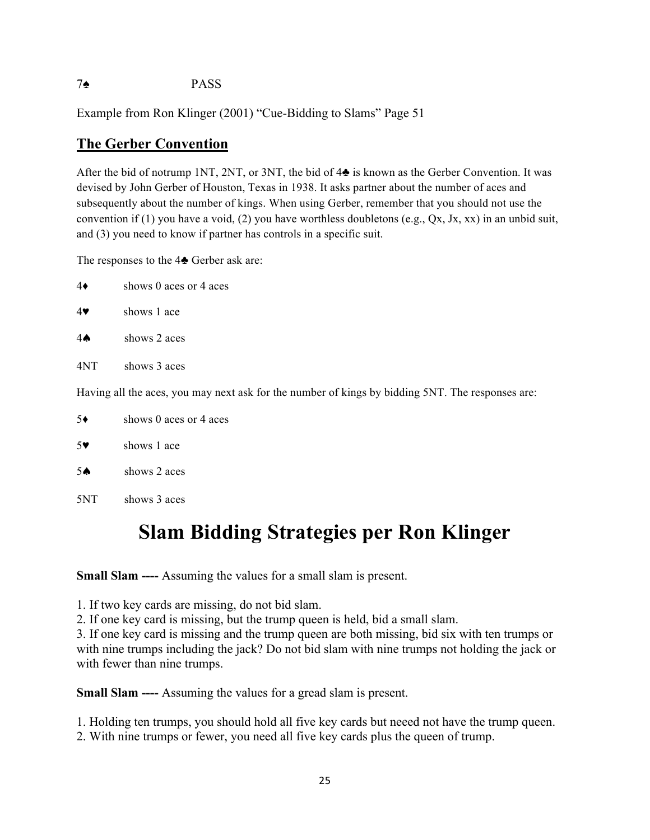## 7♠ PASS

Example from Ron Klinger (2001) "Cue-Bidding to Slams" Page 51

## **The Gerber Convention**

After the bid of notrump 1NT, 2NT, or 3NT, the bid of 4♣ is known as the Gerber Convention. It was devised by John Gerber of Houston, Texas in 1938. It asks partner about the number of aces and subsequently about the number of kings. When using Gerber, remember that you should not use the convention if (1) you have a void, (2) you have worthless doubletons (e.g.,  $Qx$ , Jx, xx) in an unbid suit, and (3) you need to know if partner has controls in a specific suit.

The responses to the 4♣ Gerber ask are:

| $4\bullet$            | shows 0 aces or 4 aces                                                                           |
|-----------------------|--------------------------------------------------------------------------------------------------|
| $4\blacktriangledown$ | shows 1 ace                                                                                      |
| $4 \spadesuit$        | shows 2 aces                                                                                     |
| 4NT                   | shows 3 aces                                                                                     |
|                       | Having all the aces, you may next ask for the number of kings by bidding 5NT. The responses are: |
| $5*$                  | shows 0 aces or 4 aces                                                                           |

5♥ shows 1 ace

- 5♠ shows 2 aces
- 5NT shows 3 aces

# **Slam Bidding Strategies per Ron Klinger**

**Small Slam ----** Assuming the values for a small slam is present.

1. If two key cards are missing, do not bid slam.

2. If one key card is missing, but the trump queen is held, bid a small slam.

3. If one key card is missing and the trump queen are both missing, bid six with ten trumps or with nine trumps including the jack? Do not bid slam with nine trumps not holding the jack or with fewer than nine trumps.

**Small Slam ----** Assuming the values for a gread slam is present.

1. Holding ten trumps, you should hold all five key cards but neeed not have the trump queen.

2. With nine trumps or fewer, you need all five key cards plus the queen of trump.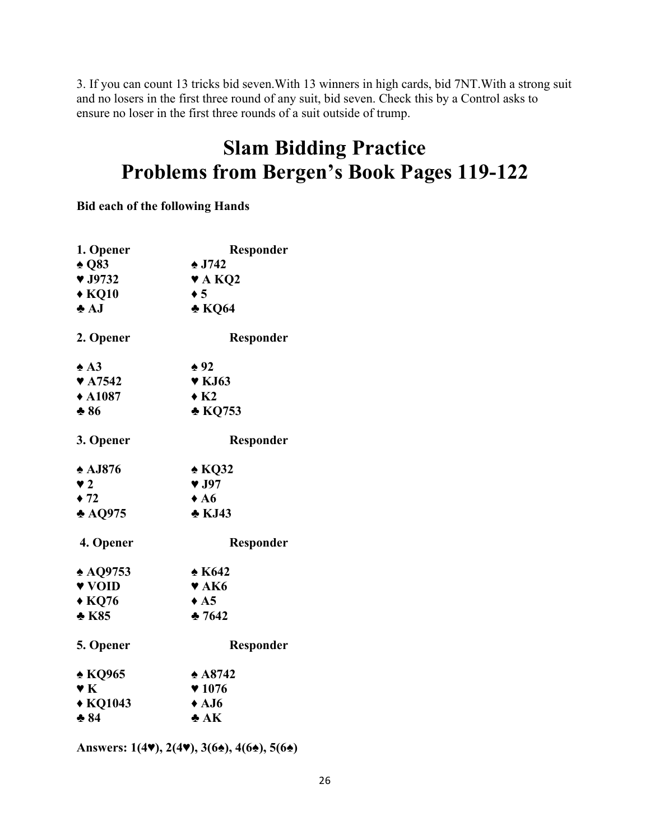3. If you can count 13 tricks bid seven.With 13 winners in high cards, bid 7NT.With a strong suit and no losers in the first three round of any suit, bid seven. Check this by a Control asks to ensure no loser in the first three rounds of a suit outside of trump.

# **Slam Bidding Practice Problems from Bergen's Book Pages 119-122**

**Bid each of the following Hands** 

| 1. Opener                  | Responder                  |
|----------------------------|----------------------------|
| $\triangle$ Q83            | $\triangle$ J742           |
| $\blacktriangledown$ J9732 | $\blacktriangledown$ A KQ2 |
| $\triangle$ KQ10           | $\bullet$ 5                |
| $\bullet$ AJ               | $\triangle$ KQ64           |
| 2. Opener                  | Responder                  |
| $\triangle$ A3             | $\triangle 92$             |
| $\blacktriangledown$ A7542 | $\blacktriangledown$ KJ63  |
| $\triangle$ A1087          | $\star$ K <sub>2</sub>     |
| $*86$                      | * KQ753                    |
| 3. Opener                  | Responder                  |
| $\triangle$ AJ876          | $\triangle$ KQ32           |
| $\blacktriangledown$ 2     | $\blacktriangledown$ J97   |
| $\div$ 72                  | $\triangle$ A6             |
| $\triangle$ AQ975          | $\triangle$ KJ43           |
| 4. Opener                  | Responder                  |
| $\triangle$ AQ9753         | $\triangle$ K642           |
| v VOID                     | $\blacktriangledown$ AK6   |
| $\triangle$ KQ76           | $\triangle$ A5             |
| $\triangle$ K85            | 257642                     |
| 5. Opener                  | Responder                  |
| $\triangle$ KQ965          | $*$ A8742                  |
| $\mathbf{v}$ K             | $*1076$                    |
| ◆ KQ1043                   | $\triangle$ AJ6            |
| $* 84$                     | $\bullet$ AK               |

**Answers: 1(4♥), 2(4♥), 3(6♠), 4(6♠), 5(6♠)**